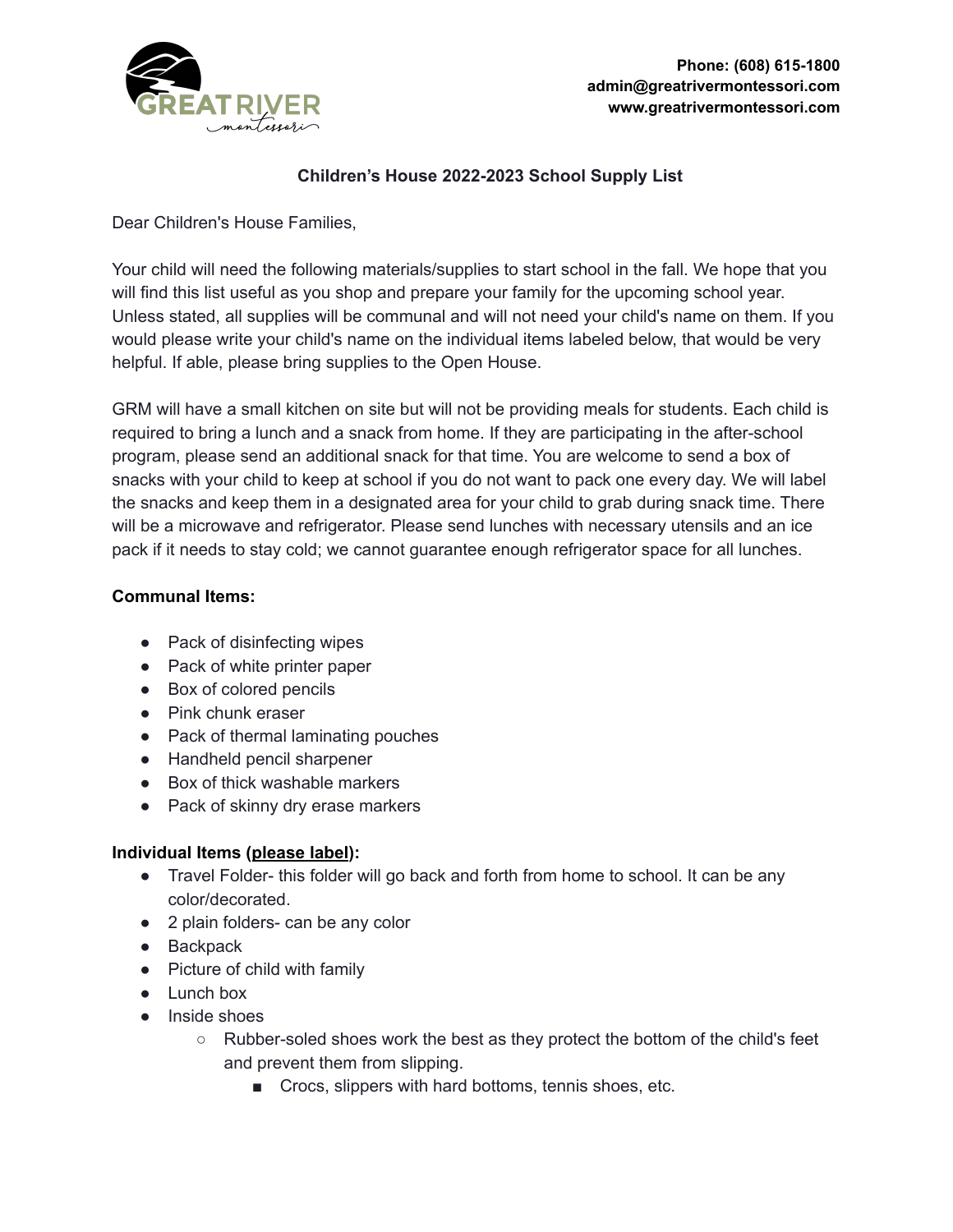

## **Children's House 2022-2023 School Supply List**

Dear Children's House Families,

Your child will need the following materials/supplies to start school in the fall. We hope that you will find this list useful as you shop and prepare your family for the upcoming school year. Unless stated, all supplies will be communal and will not need your child's name on them. If you would please write your child's name on the individual items labeled below, that would be very helpful. If able, please bring supplies to the Open House.

GRM will have a small kitchen on site but will not be providing meals for students. Each child is required to bring a lunch and a snack from home. If they are participating in the after-school program, please send an additional snack for that time. You are welcome to send a box of snacks with your child to keep at school if you do not want to pack one every day. We will label the snacks and keep them in a designated area for your child to grab during snack time. There will be a microwave and refrigerator. Please send lunches with necessary utensils and an ice pack if it needs to stay cold; we cannot guarantee enough refrigerator space for all lunches.

### **Communal Items:**

- Pack of disinfecting wipes
- Pack of white printer paper
- Box of colored pencils
- Pink chunk eraser
- Pack of thermal laminating pouches
- Handheld pencil sharpener
- Box of thick washable markers
- Pack of skinny dry erase markers

### **Individual Items (please label):**

- Travel Folder- this folder will go back and forth from home to school. It can be any color/decorated.
- 2 plain folders- can be any color
- Backpack
- Picture of child with family
- Lunch box
- Inside shoes
	- $\circ$  Rubber-soled shoes work the best as they protect the bottom of the child's feet and prevent them from slipping.
		- Crocs, slippers with hard bottoms, tennis shoes, etc.